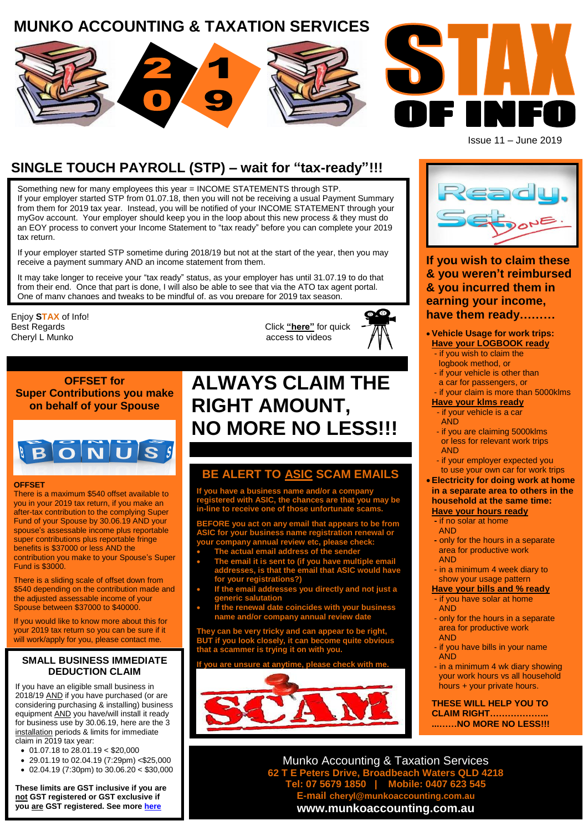# **MUNKO ACCOUNTING & TAXATION SERVICES**



Issue 11 – June 2019

ī

# **SINGLE TOUCH PAYROLL (STP) – wait for "tax-ready"!!!**

Something new for many employees this year = INCOME STATEMENTS through STP. If your employer started STP from 01.07.18, then you will not be receiving a usual Payment Summary from them for 2019 tax year. Instead, you will be notified of your INCOME STATEMENT through your myGov account. Your employer should keep you in the loop about this new process & they must do an EOY process to convert your Income Statement to "tax ready" before you can complete your 2019 tax return.

If your employer started STP sometime during 2018/19 but not at the start of the year, then you may receive a payment summary AND an income statement from them.

It may take longer to receive your "tax ready" status, as your employer has until 31.07.19 to do that from their end. Once that part is done, I will also be able to see that via the ATO tax agent portal. One of many changes and tweaks to be mindful of, as you prepare for 2019 tax season

Enjoy **STAX** of Info! Cheryl L Munko **access to videos** access to videos

**OFFSET for Super Contributions you make on behalf of your Spouse**

# **BONUS**

#### **OFFSET**

There is a maximum \$540 offset available to you in your 2019 tax return, if you make an after-tax contribution to the complying Super Fund of your Spouse by 30.06.19 AND your spouse's assessable income plus reportable super contributions plus reportable fringe benefits is \$37000 or less AND the contribution you make to your Spouse's Super Fund is \$3000.

There is a sliding scale of offset down from \$540 depending on the contribution made and the adjusted assessable income of your Spouse between \$37000 to \$40000.

If you would like to know more about this for your 2019 tax return so you can be sure if it will work/apply for you, please contact me.

#### **SMALL BUSINESS IMMEDIATE DEDUCTION CLAIM**

If you have an eligible small business in 2018/19 AND if you have purchased (or are considering purchasing & installing) business equipment AND you have/will install it ready for business use by 30.06.19, here are the 3 installation periods & limits for immediate claim in 2019 tax year:

- 01.07.18 to 28.01.19 < \$20,000
- 29.01.19 to 02.04.19 (7:29pm) <\$25,000
- 02.04.19 (7:30pm) to 30.06.20 < \$30,000

**These limits are GST inclusive if you are not GST registered or GST exclusive if you are GST registered. See mor[e here](https://www.ato.gov.au/Tax-professionals/Newsroom/Your-practice/Instant-asset-write-off-increased-and-extended/)**

# **ALWAYS CLAIM THE RIGHT AMOUNT, NO MORE NO LESS!!!**

Click ["here"](http://www.munkoaccounting.com.au/videos.html) for quick

# **BE ALERT TO ASIC SCAM EMAILS**

**If you have a business name and/or a company registered with ASIC, the chances are that you may be in-line to receive one of those unfortunate scams.**

**BEFORE you act on any email that appears to be from ASIC for your business name registration renewal or your company annual review etc, please check:**

- **The actual email address of the sender**
- **The email it is sent to (if you have multiple email addresses, is that the email that ASIC would have for your registrations?)**
- **If the email addresses you directly and not just a generic salutation**
- **If the renewal date coincides with your business name and/or company annual review date**

**They can be very tricky and can appear to be right, BUT if you look closely, it can become quite obvious that a scammer is trying it on with you.**

**If you are unsure at anytime, please check with me.**





#### **If you wish to claim these & you weren't reimbursed & you incurred them in earning your income, have them ready………**

# **Vehicle Usage for work trips:**

- **Have your LOGBOOK ready** - if you wish to claim the
- logbook method, or
- if your vehicle is other than
- a car for passengers, or

### - if your claim is more than 5000klms

#### **Have your klms ready** - if your vehicle is a car

- AND
- if you are claiming 5000klms or less for relevant work trips AND
- if your employer expected you to use your own car for work trips

#### **Electricity for doing work at home in a separate area to others in the household at the same time: Have your hours ready**

- **-** if no solar at home AND
- **-** only for the hours in a separate area for productive work
- **AND** - in a minimum 4 week diary to
- show your usage pattern

#### **Have your bills and % ready**

- if you have solar at home AND
- only for the hours in a separate area for productive work AND
- if you have bills in your name AND
- in a minimum 4 wk diary showing your work hours vs all household hours + your private hours.

**THESE WILL HELP YOU TO CLAIM RIGHT……………….. ...……NO MORE NO LESS!!!**

Munko Accounting & Taxation Services **62 T E Peters Drive, Broadbeach Waters QLD 4218 Tel: 07 5679 1850 | Mobile: 0407 623 545 Fail cheryl@munkoaccounting.com www.munkoaccounting.com.au**